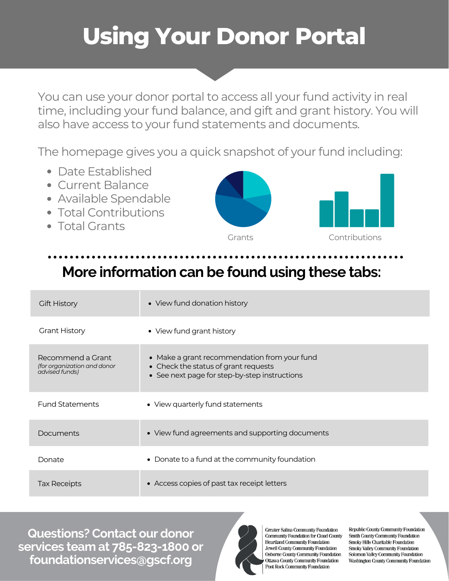## **Using Your Donor Portal**

You can use your donor portal to access all your fund activity in real time, including your fund balance, and gift and grant history. You will also have access to your fund statements and documents.

The homepage gives you a quick snapshot of your fund including:

- Date Established
- Current Balance
- Available Spendable
- Total Contributions
- Total Grants



## **More information can be found using these tabs:**

| <b>Gift History</b>                                                | • View fund donation history                                                                                                          |
|--------------------------------------------------------------------|---------------------------------------------------------------------------------------------------------------------------------------|
| <b>Grant History</b>                                               | • View fund grant history                                                                                                             |
| Recommend a Grant<br>(for organization and donor<br>advised funds) | • Make a grant recommendation from your fund<br>• Check the status of grant requests<br>• See next page for step-by-step instructions |
| <b>Fund Statements</b>                                             | • View quarterly fund statements                                                                                                      |
| Documents                                                          | • View fund agreements and supporting documents                                                                                       |
| Donate                                                             | • Donate to a fund at the community foundation                                                                                        |
| <b>Tax Receipts</b>                                                | • Access copies of past tax receipt letters                                                                                           |

**Questions? Contact our donor services team at 785-823-1800 or foundationservices@gscf.org**



**Greater Salina Community Foundation Community Foundation for Cloud County Heartland Community Foundation** Jewell County Community Foundation Osborne County Community Foundation **Ottawa County Community Foundation** Post Rock Community Foundation

Republic County Community Foundation **Smith County Community Foundation** Smoky Hills Charitable Foundation **Smoky Valley Community Foundation** Solomon Valley Community Foundation **Washington County Community Foundation**